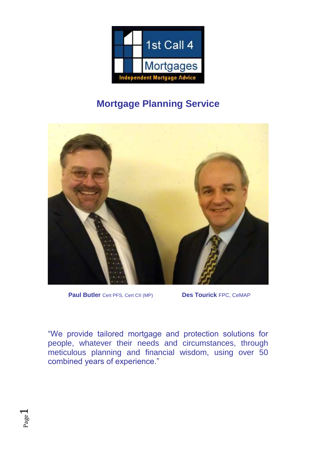

# **Mortgage Planning Service**



 **Paul Butler** Cert PFS, Cert CII (MP) **Des Tourick** FPC, CeMAP

"We provide tailored mortgage and protection solutions for people, whatever their needs and circumstances, through meticulous planning and financial wisdom, using over 50 combined years of experience."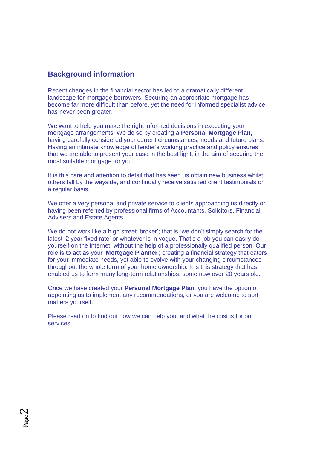# **Background information**

Recent changes in the financial sector has led to a dramatically different landscape for mortgage borrowers. Securing an appropriate mortgage has become far more difficult than before, yet the need for informed specialist advice has never been greater.

We want to help you make the right informed decisions in executing your mortgage arrangements. We do so by creating a **Personal Mortgage Plan,**  having carefully considered your current circumstances, needs and future plans. Having an intimate knowledge of lender's working practice and policy ensures that we are able to present your case in the best light, in the aim of securing the most suitable mortgage for you.

It is this care and attention to detail that has seen us obtain new business whilst others fall by the wayside, and continually receive satisfied client testimonials on a regular basis.

We offer a very personal and private service to clients approaching us directly or having been referred by professional firms of Accountants, Solicitors, Financial Advisers and Estate Agents.

We do not work like a high street 'broker'; that is, we don't simply search for the latest '2 year fixed rate' or whatever is in vogue. That's a job you can easily do yourself on the internet, without the help of a professionally qualified person. Our role is to act as your '**Mortgage Planner**'; creating a financial strategy that caters for your immediate needs, yet able to evolve with your changing circumstances throughout the whole term of your home ownership. It is this strategy that has enabled us to form many long-term relationships, some now over 20 years old.

Once we have created your **Personal Mortgage Plan**, you have the option of appointing us to implement any recommendations, or you are welcome to sort matters yourself.

Please read on to find out how we can help you, and what the cost is for our services.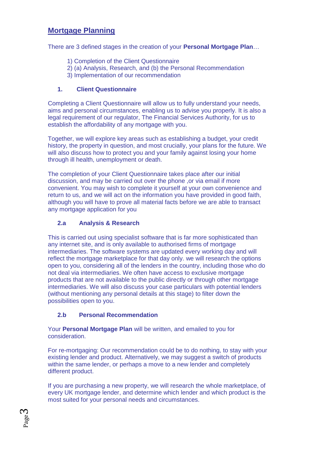# **Mortgage Planning**

There are 3 defined stages in the creation of your **Personal Mortgage Plan**…

- 1) Completion of the Client Questionnaire
- 2) (a) Analysis, Research, and (b) the Personal Recommendation
- 3) Implementation of our recommendation

# **1. Client Questionnaire**

Completing a Client Questionnaire will allow us to fully understand your needs, aims and personal circumstances, enabling us to advise you properly. It is also a legal requirement of our regulator, The Financial Services Authority, for us to establish the affordability of any mortgage with you.

Together, we will explore key areas such as establishing a budget, your credit history, the property in question, and most crucially, your plans for the future. We will also discuss how to protect you and your family against losing your home through ill health, unemployment or death.

The completion of your Client Questionnaire takes place after our initial discussion, and may be carried out over the phone ,or via email if more convenient. You may wish to complete it yourself at your own convenience and return to us, and we will act on the information you have provided in good faith, although you will have to prove all material facts before we are able to transact any mortgage application for you

# **2.a Analysis & Research**

This is carried out using specialist software that is far more sophisticated than any internet site, and is only available to authorised firms of mortgage intermediaries. The software systems are updated every working day and will reflect the mortgage marketplace for that day only. we will research the options open to you, considering all of the lenders in the country, including those who do not deal via intermediaries. We often have access to exclusive mortgage products that are not available to the public directly or through other mortgage intermediaries. We will also discuss your case particulars with potential lenders (without mentioning any personal details at this stage) to filter down the possibilities open to you.

# **2.b Personal Recommendation**

Your **Personal Mortgage Plan** will be written, and emailed to you for consideration.

For re-mortgaging: Our recommendation could be to do nothing, to stay with your existing lender and product. Alternatively, we may suggest a switch of products within the same lender, or perhaps a move to a new lender and completely different product.

If you are purchasing a new property, we will research the whole marketplace, of every UK mortgage lender, and determine which lender and which product is the most suited for your personal needs and circumstances.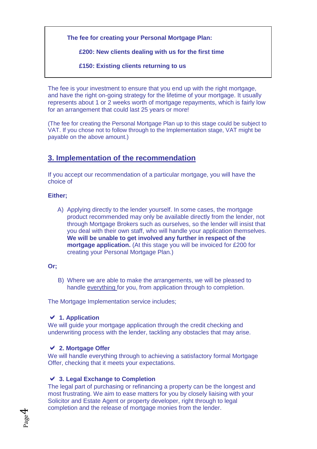**The fee for creating your Personal Mortgage Plan:** 

 **£200: New clients dealing with us for the first time** 

 **£150: Existing clients returning to us**

The fee is your investment to ensure that you end up with the right mortgage, and have the right on-going strategy for the lifetime of your mortgage. It usually represents about 1 or 2 weeks worth of mortgage repayments, which is fairly low for an arrangement that could last 25 years or more!

(The fee for creating the Personal Mortgage Plan up to this stage could be subject to VAT. If you chose not to follow through to the Implementation stage, VAT might be payable on the above amount.)

# **3. Implementation of the recommendation**

If you accept our recommendation of a particular mortgage, you will have the choice of

#### **Either;**

A) Applying directly to the lender yourself. In some cases, the mortgage product recommended may only be available directly from the lender, not through Mortgage Brokers such as ourselves, so the lender will insist that you deal with their own staff, who will handle your application themselves. **We will be unable to get involved any further in respect of the mortgage application.** (At this stage you will be invoiced for £200 for creating your Personal Mortgage Plan.)

#### **Or;**

B) Where we are able to make the arrangements, we will be pleased to handle everything for you, from application through to completion.

The Mortgage Implementation service includes:

# **1. Application**

We will guide your mortgage application through the credit checking and underwriting process with the lender, tackling any obstacles that may arise.

# **2. Mortgage Offer**

We will handle everything through to achieving a satisfactory formal Mortgage Offer, checking that it meets your expectations.

# **3. Legal Exchange to Completion**

The legal part of purchasing or refinancing a property can be the longest and most frustrating. We aim to ease matters for you by closely liaising with your Solicitor and Estate Agent or property developer, right through to legal completion and the release of mortgage monies from the lender.